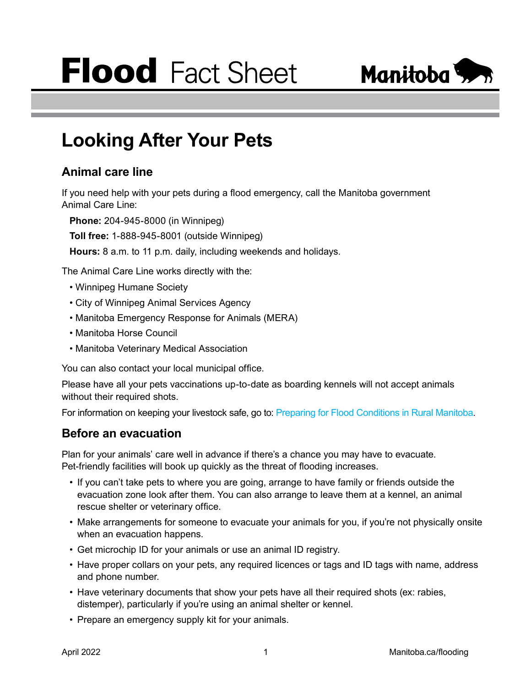# **Flood** Fact Sheet



# **Looking After Your Pets**

# **Animal care line**

If you need help with your pets during a flood emergency, call the Manitoba government Animal Care Line:

**Phone:** 204-945-8000 (in Winnipeg)

**Toll free:** 1-888-945-8001 (outside Winnipeg)

**Hours:** 8 a.m. to 11 p.m. daily, including weekends and holidays.

The Animal Care Line works directly with the:

- Winnipeg Humane Society
- City of Winnipeg Animal Services Agency
- Manitoba Emergency Response for Animals (MERA)
- Manitoba Horse Council
- Manitoba Veterinary Medical Association

You can also contact your local municipal office.

Please have all your pets vaccinations up-to-date as boarding kennels will not accept animals without their required shots.

For information on keeping your livestock safe, go to: [Preparing for Flood Conditions in Rural Manitoba](https://www.gov.mb.ca/asset_library/en/spring_outlook/preparing_for_flood_conditions_in_rural_mb.pdf).

## **Before an evacuation**

Plan for your animals' care well in advance if there's a chance you may have to evacuate. Pet-friendly facilities will book up quickly as the threat of flooding increases.

- If you can't take pets to where you are going, arrange to have family or friends outside the evacuation zone look after them. You can also arrange to leave them at a kennel, an animal rescue shelter or veterinary office.
- Make arrangements for someone to evacuate your animals for you, if you're not physically onsite when an evacuation happens.
- Get microchip ID for your animals or use an animal ID registry.
- Have proper collars on your pets, any required licences or tags and ID tags with name, address and phone number.
- Have veterinary documents that show your pets have all their required shots (ex: rabies, distemper), particularly if you're using an animal shelter or kennel.
- Prepare an emergency supply kit for your animals.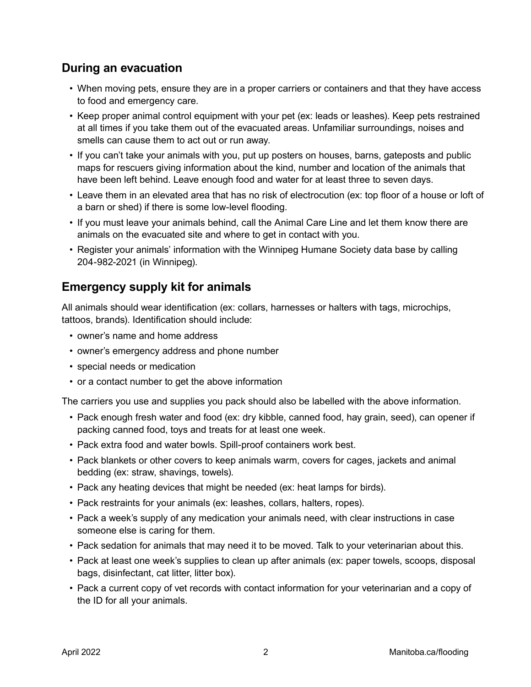# **During an evacuation**

- When moving pets, ensure they are in a proper carriers or containers and that they have access to food and emergency care.
- Keep proper animal control equipment with your pet (ex: leads or leashes). Keep pets restrained at all times if you take them out of the evacuated areas. Unfamiliar surroundings, noises and smells can cause them to act out or run away.
- If you can't take your animals with you, put up posters on houses, barns, gateposts and public maps for rescuers giving information about the kind, number and location of the animals that have been left behind. Leave enough food and water for at least three to seven days.
- Leave them in an elevated area that has no risk of electrocution (ex: top floor of a house or loft of a barn or shed) if there is some low-level flooding.
- If you must leave your animals behind, call the Animal Care Line and let them know there are animals on the evacuated site and where to get in contact with you.
- Register your animals' information with the Winnipeg Humane Society data base by calling 204-982-2021 (in Winnipeg).

## **Emergency supply kit for animals**

All animals should wear identification (ex: collars, harnesses or halters with tags, microchips, tattoos, brands). Identification should include:

- owner's name and home address
- owner's emergency address and phone number
- special needs or medication
- or a contact number to get the above information

The carriers you use and supplies you pack should also be labelled with the above information.

- Pack enough fresh water and food (ex: dry kibble, canned food, hay grain, seed), can opener if packing canned food, toys and treats for at least one week.
- Pack extra food and water bowls. Spill-proof containers work best.
- Pack blankets or other covers to keep animals warm, covers for cages, jackets and animal bedding (ex: straw, shavings, towels).
- Pack any heating devices that might be needed (ex: heat lamps for birds).
- Pack restraints for your animals (ex: leashes, collars, halters, ropes).
- Pack a week's supply of any medication your animals need, with clear instructions in case someone else is caring for them.
- Pack sedation for animals that may need it to be moved. Talk to your veterinarian about this.
- Pack at least one week's supplies to clean up after animals (ex: paper towels, scoops, disposal bags, disinfectant, cat litter, litter box).
- Pack a current copy of vet records with contact information for your veterinarian and a copy of the ID for all your animals.